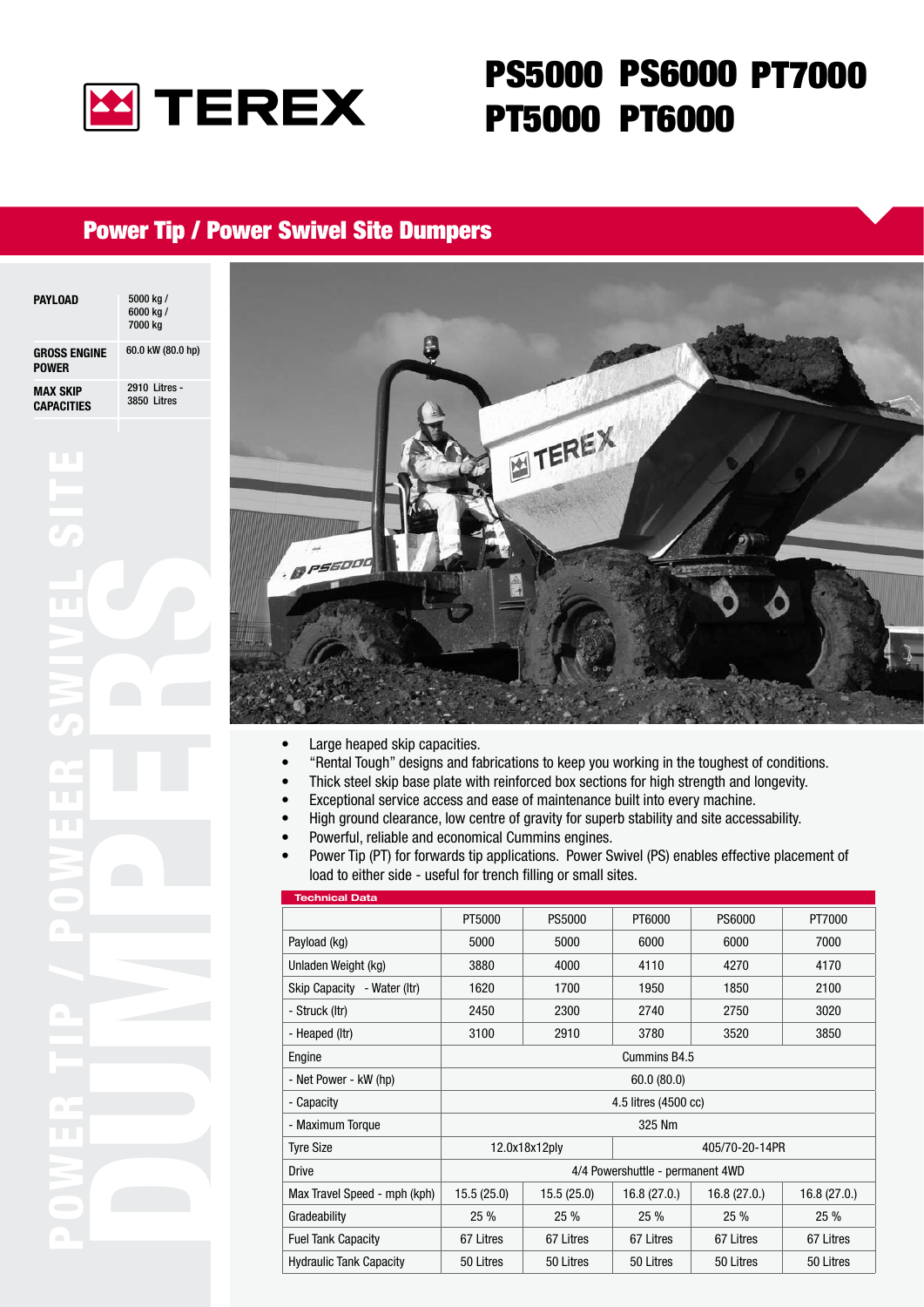

# PS5000 PS6000 PT7000PT5000 PT6000

### Power Tip / Power Swivel Site Dumpers

| <b>PAYLOAD</b>                      | 5000 kg /<br>6000 kg /<br>7000 kg |
|-------------------------------------|-----------------------------------|
| <b>GROSS ENGINE</b><br><b>POWER</b> | 60.0 kW (80.0 hp)                 |
| MAX SKIP<br><b>CAPACITIES</b>       | 2910 Litres -<br>3850 Litres      |
|                                     |                                   |

POWER TIP / POWEER SWIVEL SITE

 $\sim$  1

nia<br>Ala



- Large heaped skip capacities. •
- "Rental Tough" designs and fabrications to keep you working in the toughest of conditions. •
- Thick steel skip base plate with reinforced box sections for high strength and longevity. •
- Exceptional service access and ease of maintenance built into every machine. •
- High ground clearance, low centre of gravity for superb stability and site accessability. •
- Powerful, reliable and economical Cummins engines. •
- Power Tip (PT) for forwards tip applications. Power Swivel (PS) enables effective placement of load to either side - useful for trench filling or small sites. •

| <b>Technical Data</b>          |                                  |               |             |             |             |
|--------------------------------|----------------------------------|---------------|-------------|-------------|-------------|
|                                | PT5000                           | <b>PS5000</b> | PT6000      | PS6000      | PT7000      |
| Payload (kg)                   | 5000                             | 5000          | 6000        | 6000        | 7000        |
| Unladen Weight (kg)            | 3880                             | 4000          | 4110        | 4270        | 4170        |
| Skip Capacity - Water (Itr)    | 1620                             | 1700          | 1950        | 1850        | 2100        |
| - Struck (Itr)                 | 2450                             | 2300          | 2740        | 2750        | 3020        |
| - Heaped (Itr)                 | 3100                             | 2910          | 3780        | 3520        | 3850        |
| Engine                         | Cummins B4.5                     |               |             |             |             |
| - Net Power - kW (hp)          | 60.0(80.0)                       |               |             |             |             |
| - Capacity                     | 4.5 litres (4500 cc)             |               |             |             |             |
| - Maximum Torque               | 325 Nm                           |               |             |             |             |
| <b>Tyre Size</b>               | 12.0x18x12ply<br>405/70-20-14PR  |               |             |             |             |
| <b>Drive</b>                   | 4/4 Powershuttle - permanent 4WD |               |             |             |             |
| Max Travel Speed - mph (kph)   | 15.5(25.0)                       | 15.5(25.0)    | 16.8(27.0.) | 16.8(27.0.) | 16.8(27.0.) |
| Gradeability                   | 25 %                             | 25 %          | 25%         | 25 %        | 25 %        |
| <b>Fuel Tank Capacity</b>      | 67 Litres                        | 67 Litres     | 67 Litres   | 67 Litres   | 67 Litres   |
| <b>Hydraulic Tank Capacity</b> | 50 Litres                        | 50 Litres     | 50 Litres   | 50 Litres   | 50 Litres   |